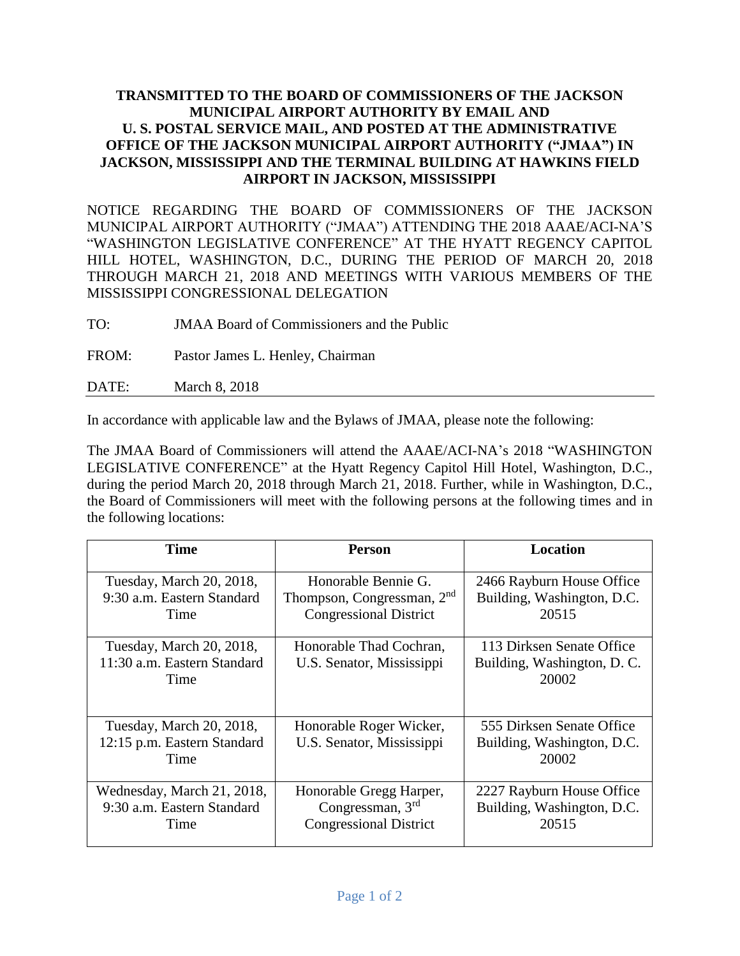## **TRANSMITTED TO THE BOARD OF COMMISSIONERS OF THE JACKSON MUNICIPAL AIRPORT AUTHORITY BY EMAIL AND U. S. POSTAL SERVICE MAIL, AND POSTED AT THE ADMINISTRATIVE OFFICE OF THE JACKSON MUNICIPAL AIRPORT AUTHORITY ("JMAA") IN JACKSON, MISSISSIPPI AND THE TERMINAL BUILDING AT HAWKINS FIELD AIRPORT IN JACKSON, MISSISSIPPI**

NOTICE REGARDING THE BOARD OF COMMISSIONERS OF THE JACKSON MUNICIPAL AIRPORT AUTHORITY ("JMAA") ATTENDING THE 2018 AAAE/ACI-NA'S "WASHINGTON LEGISLATIVE CONFERENCE" AT THE HYATT REGENCY CAPITOL HILL HOTEL, WASHINGTON, D.C., DURING THE PERIOD OF MARCH 20, 2018 THROUGH MARCH 21, 2018 AND MEETINGS WITH VARIOUS MEMBERS OF THE MISSISSIPPI CONGRESSIONAL DELEGATION

TO: JMAA Board of Commissioners and the Public

FROM: Pastor James L. Henley, Chairman

DATE: March 8, 2018

In accordance with applicable law and the Bylaws of JMAA, please note the following:

The JMAA Board of Commissioners will attend the AAAE/ACI-NA's 2018 "WASHINGTON LEGISLATIVE CONFERENCE" at the Hyatt Regency Capitol Hill Hotel, Washington, D.C., during the period March 20, 2018 through March 21, 2018. Further, while in Washington, D.C., the Board of Commissioners will meet with the following persons at the following times and in the following locations:

| <b>Time</b>                                                      | <b>Person</b>                                                                                  | Location                                                          |
|------------------------------------------------------------------|------------------------------------------------------------------------------------------------|-------------------------------------------------------------------|
| Tuesday, March 20, 2018,<br>9:30 a.m. Eastern Standard<br>Time   | Honorable Bennie G.<br>Thompson, Congressman, 2 <sup>nd</sup><br><b>Congressional District</b> | 2466 Rayburn House Office<br>Building, Washington, D.C.<br>20515  |
| Tuesday, March 20, 2018,<br>11:30 a.m. Eastern Standard<br>Time  | Honorable Thad Cochran,<br>U.S. Senator, Mississippi                                           | 113 Dirksen Senate Office<br>Building, Washington, D. C.<br>20002 |
| Tuesday, March 20, 2018,<br>12:15 p.m. Eastern Standard<br>Time  | Honorable Roger Wicker,<br>U.S. Senator, Mississippi                                           | 555 Dirksen Senate Office<br>Building, Washington, D.C.<br>20002  |
| Wednesday, March 21, 2018,<br>9:30 a.m. Eastern Standard<br>Time | Honorable Gregg Harper,<br>Congressman, $3rd$<br><b>Congressional District</b>                 | 2227 Rayburn House Office<br>Building, Washington, D.C.<br>20515  |